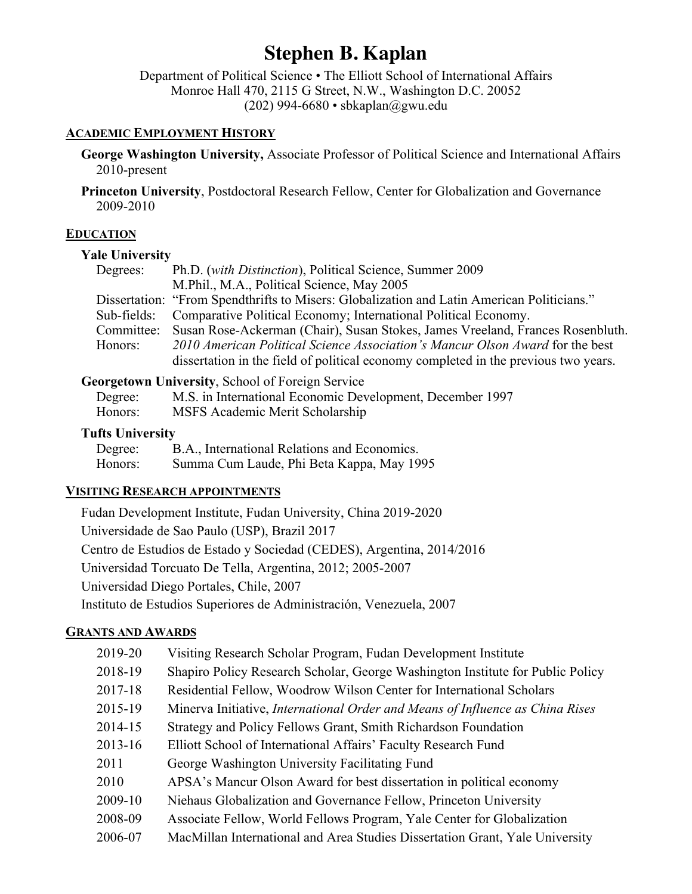# **Stephen B. Kaplan**

Department of Political Science • The Elliott School of International Affairs Monroe Hall 470, 2115 G Street, N.W., Washington D.C. 20052 (202) 994-6680 • sbkaplan@gwu.edu

#### **ACADEMIC EMPLOYMENT HISTORY**

**George Washington University,** Associate Professor of Political Science and International Affairs 2010-present

**Princeton University**, Postdoctoral Research Fellow, Center for Globalization and Governance 2009-2010

# **EDUCATION**

# **Yale University**

| Degrees:   | Ph.D. (with Distinction), Political Science, Summer 2009                                   |
|------------|--------------------------------------------------------------------------------------------|
|            | M.Phil., M.A., Political Science, May 2005                                                 |
|            | Dissertation: "From Spendthrifts to Misers: Globalization and Latin American Politicians." |
|            | Sub-fields: Comparative Political Economy; International Political Economy.                |
| Committee: | Susan Rose-Ackerman (Chair), Susan Stokes, James Vreeland, Frances Rosenbluth.             |
| Honors:    | 2010 American Political Science Association's Mancur Olson Award for the best              |
|            | dissertation in the field of political economy completed in the previous two years.        |

# **Georgetown University**, School of Foreign Service

| Degree: | M.S. in International Economic Development, December 1997 |
|---------|-----------------------------------------------------------|
| Honors: | MSFS Academic Merit Scholarship                           |

# **Tufts University**

| Degree: | B.A., International Relations and Economics. |
|---------|----------------------------------------------|
| Honors: | Summa Cum Laude, Phi Beta Kappa, May 1995    |

#### **VISITING RESEARCH APPOINTMENTS**

Fudan Development Institute, Fudan University, China 2019-2020 Universidade de Sao Paulo (USP), Brazil 2017 Centro de Estudios de Estado y Sociedad (CEDES), Argentina, 2014/2016 Universidad Torcuato De Tella, Argentina, 2012; 2005-2007 Universidad Diego Portales, Chile, 2007 Instituto de Estudios Superiores de Administración, Venezuela, 2007

# **GRANTS AND AWARDS**

| 2019-20 | Visiting Research Scholar Program, Fudan Development Institute                       |
|---------|--------------------------------------------------------------------------------------|
| 2018-19 | Shapiro Policy Research Scholar, George Washington Institute for Public Policy       |
| 2017-18 | Residential Fellow, Woodrow Wilson Center for International Scholars                 |
| 2015-19 | Minerva Initiative, <i>International Order and Means of Influence as China Rises</i> |
| 2014-15 | Strategy and Policy Fellows Grant, Smith Richardson Foundation                       |
| 2013-16 | Elliott School of International Affairs' Faculty Research Fund                       |
| 2011    | George Washington University Facilitating Fund                                       |
| 2010    | APSA's Mancur Olson Award for best dissertation in political economy                 |
| 2009-10 | Niehaus Globalization and Governance Fellow, Princeton University                    |
| 2008-09 | Associate Fellow, World Fellows Program, Yale Center for Globalization               |
| 2006-07 | MacMillan International and Area Studies Dissertation Grant, Yale University         |
|         |                                                                                      |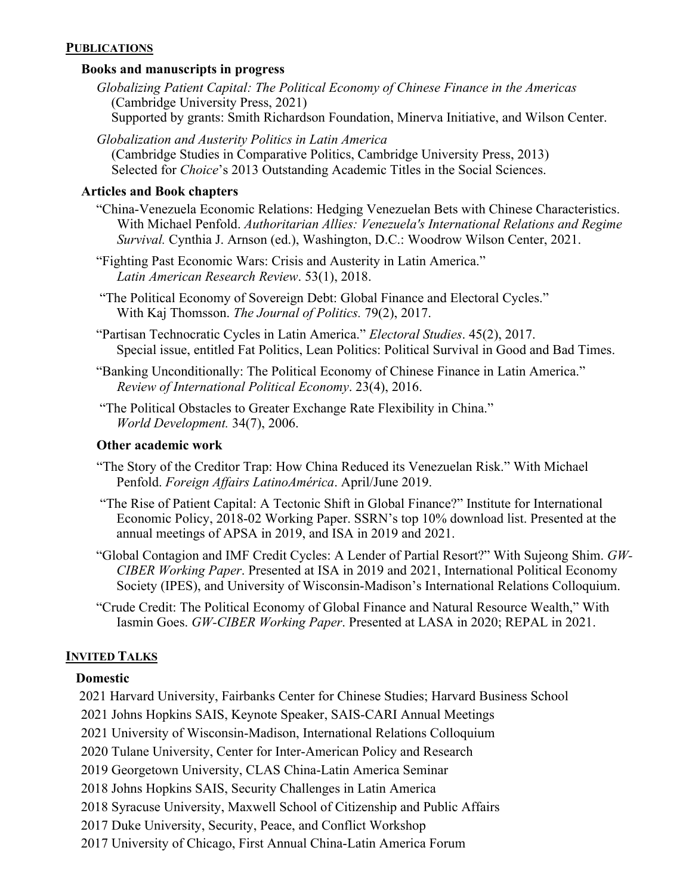#### **PUBLICATIONS**

#### **Books and manuscripts in progress**

- *Globalizing Patient Capital: The Political Economy of Chinese Finance in the Americas* (Cambridge University Press, 2021) Supported by grants: Smith Richardson Foundation, Minerva Initiative, and Wilson Center.
- *Globalization and Austerity Politics in Latin America*  (Cambridge Studies in Comparative Politics, Cambridge University Press, 2013) Selected for *Choice*'s 2013 Outstanding Academic Titles in the Social Sciences.

#### **Articles and Book chapters**

- "China-Venezuela Economic Relations: Hedging Venezuelan Bets with Chinese Characteristics. With Michael Penfold. *Authoritarian Allies: Venezuela's International Relations and Regime Survival.* Cynthia J. Arnson (ed.), Washington, D.C.: Woodrow Wilson Center, 2021.
- "Fighting Past Economic Wars: Crisis and Austerity in Latin America." *Latin American Research Review*. 53(1), 2018.
- "The Political Economy of Sovereign Debt: Global Finance and Electoral Cycles." With Kaj Thomsson. *The Journal of Politics.* 79(2), 2017.
- "Partisan Technocratic Cycles in Latin America." *Electoral Studies*. 45(2), 2017. Special issue, entitled Fat Politics, Lean Politics: Political Survival in Good and Bad Times.
- "Banking Unconditionally: The Political Economy of Chinese Finance in Latin America." *Review of International Political Economy*. 23(4), 2016.
- "The Political Obstacles to Greater Exchange Rate Flexibility in China." *World Development.* 34(7), 2006.

#### **Other academic work**

- "The Story of the Creditor Trap: How China Reduced its Venezuelan Risk." With Michael Penfold. *Foreign Affairs LatinoAmérica*. April/June 2019.
- "The Rise of Patient Capital: A Tectonic Shift in Global Finance?" Institute for International Economic Policy, 2018-02 Working Paper. SSRN's top 10% download list. Presented at the annual meetings of APSA in 2019, and ISA in 2019 and 2021.
- "Global Contagion and IMF Credit Cycles: A Lender of Partial Resort?" With Sujeong Shim. *GW-CIBER Working Paper*. Presented at ISA in 2019 and 2021, International Political Economy Society (IPES), and University of Wisconsin-Madison's International Relations Colloquium.
- "Crude Credit: The Political Economy of Global Finance and Natural Resource Wealth," With Iasmin Goes. *GW-CIBER Working Paper*. Presented at LASA in 2020; REPAL in 2021.

#### **INVITED TALKS**

#### **Domestic**

2021 Harvard University, Fairbanks Center for Chinese Studies; Harvard Business School

2021 Johns Hopkins SAIS, Keynote Speaker, SAIS-CARI Annual Meetings

2021 University of Wisconsin-Madison, International Relations Colloquium

- 2020 Tulane University, Center for Inter-American Policy and Research
- 2019 Georgetown University, CLAS China-Latin America Seminar
- 2018 Johns Hopkins SAIS, Security Challenges in Latin America
- 2018 Syracuse University, Maxwell School of Citizenship and Public Affairs
- 2017 Duke University, Security, Peace, and Conflict Workshop
- 2017 University of Chicago, First Annual China-Latin America Forum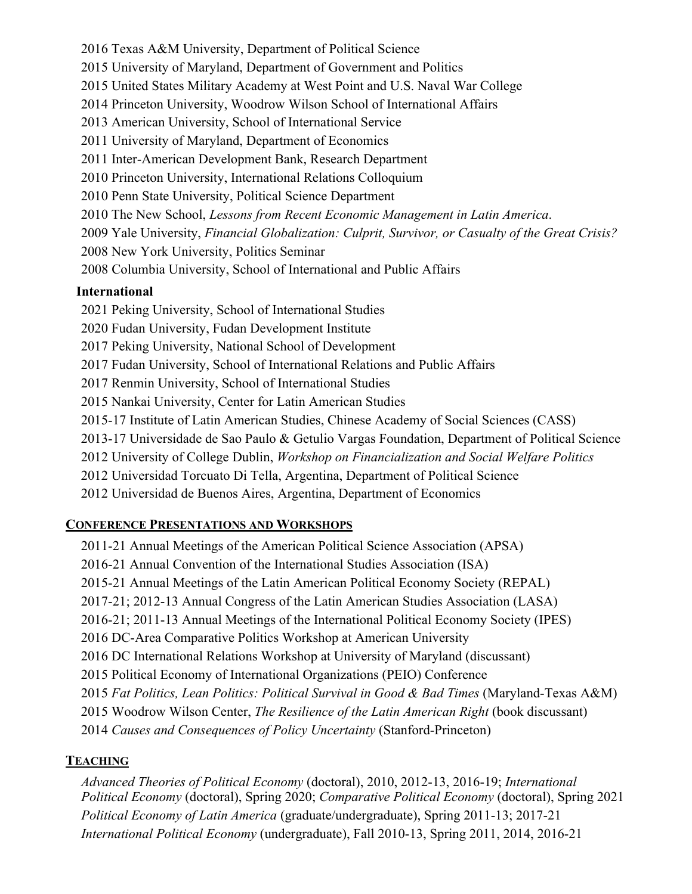2016 Texas A&M University, Department of Political Science 2015 University of Maryland, Department of Government and Politics 2015 United States Military Academy at West Point and U.S. Naval War College 2014 Princeton University, Woodrow Wilson School of International Affairs 2013 American University, School of International Service 2011 University of Maryland, Department of Economics 2011 Inter-American Development Bank, Research Department 2010 Princeton University, International Relations Colloquium 2010 Penn State University, Political Science Department 2010 The New School, *Lessons from Recent Economic Management in Latin America*. 2009 Yale University, *Financial Globalization: Culprit, Survivor, or Casualty of the Great Crisis?* 2008 New York University, Politics Seminar 2008 Columbia University, School of International and Public Affairs **International** 2021 Peking University, School of International Studies 2020 Fudan University, Fudan Development Institute 2017 Peking University, National School of Development 2017 Fudan University, School of International Relations and Public Affairs 2017 Renmin University, School of International Studies 2015 Nankai University, Center for Latin American Studies 2015-17 Institute of Latin American Studies, Chinese Academy of Social Sciences (CASS) 2013-17 Universidade de Sao Paulo & Getulio Vargas Foundation, Department of Political Science 2012 University of College Dublin, *Workshop on Financialization and Social Welfare Politics* 2012 Universidad Torcuato Di Tella, Argentina, Department of Political Science

# 2012 Universidad de Buenos Aires, Argentina, Department of Economics

# **CONFERENCE PRESENTATIONS AND WORKSHOPS**

2011-21 Annual Meetings of the American Political Science Association (APSA) 2016-21 Annual Convention of the International Studies Association (ISA) 2015-21 Annual Meetings of the Latin American Political Economy Society (REPAL) 2017-21; 2012-13 Annual Congress of the Latin American Studies Association (LASA) 2016-21; 2011-13 Annual Meetings of the International Political Economy Society (IPES) 2016 DC-Area Comparative Politics Workshop at American University 2016 DC International Relations Workshop at University of Maryland (discussant) 2015 Political Economy of International Organizations (PEIO) Conference 2015 *Fat Politics, Lean Politics: Political Survival in Good & Bad Times* (Maryland-Texas A&M) 2015 Woodrow Wilson Center, *The Resilience of the Latin American Right* (book discussant) 2014 *Causes and Consequences of Policy Uncertainty* (Stanford-Princeton)

# **TEACHING**

*Advanced Theories of Political Economy* (doctoral), 2010, 2012-13, 2016-19; *International Political Economy* (doctoral), Spring 2020; *Comparative Political Economy* (doctoral), Spring 2021 *Political Economy of Latin America* (graduate/undergraduate), Spring 2011-13; 2017-21 *International Political Economy* (undergraduate), Fall 2010-13, Spring 2011, 2014, 2016-21